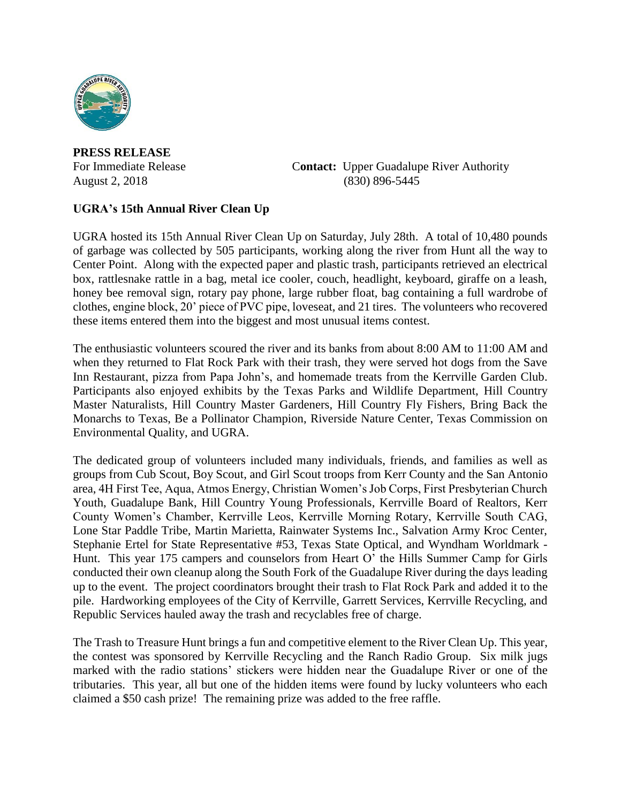

**PRESS RELEASE**

For Immediate Release **Contact:** Upper Guadalupe River Authority August 2, 2018 (830) 896-5445

## **UGRA's 15th Annual River Clean Up**

UGRA hosted its 15th Annual River Clean Up on Saturday, July 28th. A total of 10,480 pounds of garbage was collected by 505 participants, working along the river from Hunt all the way to Center Point. Along with the expected paper and plastic trash, participants retrieved an electrical box, rattlesnake rattle in a bag, metal ice cooler, couch, headlight, keyboard, giraffe on a leash, honey bee removal sign, rotary pay phone, large rubber float, bag containing a full wardrobe of clothes, engine block, 20' piece of PVC pipe, loveseat, and 21 tires. The volunteers who recovered these items entered them into the biggest and most unusual items contest.

The enthusiastic volunteers scoured the river and its banks from about 8:00 AM to 11:00 AM and when they returned to Flat Rock Park with their trash, they were served hot dogs from the Save Inn Restaurant, pizza from Papa John's, and homemade treats from the Kerrville Garden Club. Participants also enjoyed exhibits by the Texas Parks and Wildlife Department, Hill Country Master Naturalists, Hill Country Master Gardeners, Hill Country Fly Fishers, Bring Back the Monarchs to Texas, Be a Pollinator Champion, Riverside Nature Center, Texas Commission on Environmental Quality, and UGRA.

The dedicated group of volunteers included many individuals, friends, and families as well as groups from Cub Scout, Boy Scout, and Girl Scout troops from Kerr County and the San Antonio area, 4H First Tee, Aqua, Atmos Energy, Christian Women's Job Corps, First Presbyterian Church Youth, Guadalupe Bank, Hill Country Young Professionals, Kerrville Board of Realtors, Kerr County Women's Chamber, Kerrville Leos, Kerrville Morning Rotary, Kerrville South CAG, Lone Star Paddle Tribe, Martin Marietta, Rainwater Systems Inc., Salvation Army Kroc Center, Stephanie Ertel for State Representative #53, Texas State Optical, and Wyndham Worldmark - Hunt. This year 175 campers and counselors from Heart O' the Hills Summer Camp for Girls conducted their own cleanup along the South Fork of the Guadalupe River during the days leading up to the event. The project coordinators brought their trash to Flat Rock Park and added it to the pile. Hardworking employees of the City of Kerrville, Garrett Services, Kerrville Recycling, and Republic Services hauled away the trash and recyclables free of charge.

The Trash to Treasure Hunt brings a fun and competitive element to the River Clean Up. This year, the contest was sponsored by Kerrville Recycling and the Ranch Radio Group. Six milk jugs marked with the radio stations' stickers were hidden near the Guadalupe River or one of the tributaries. This year, all but one of the hidden items were found by lucky volunteers who each claimed a \$50 cash prize! The remaining prize was added to the free raffle.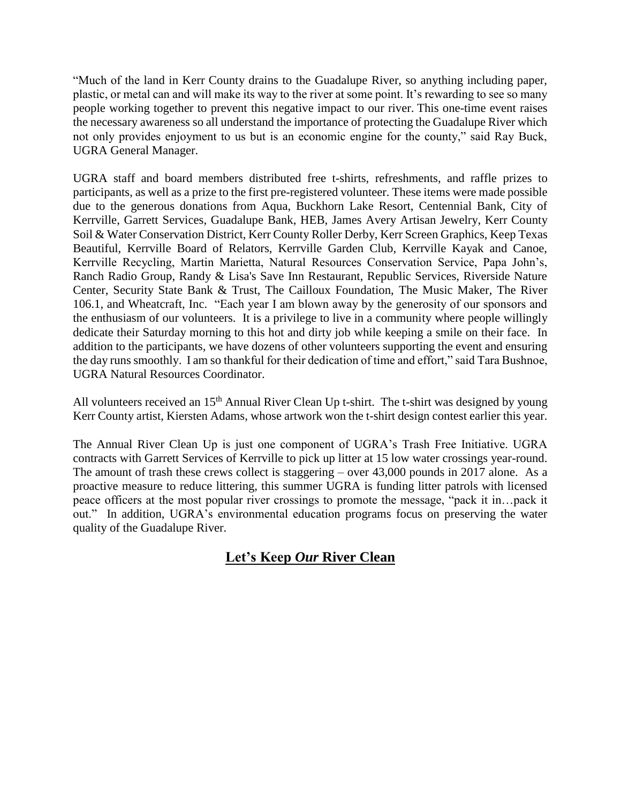"Much of the land in Kerr County drains to the Guadalupe River, so anything including paper, plastic, or metal can and will make its way to the river at some point. It's rewarding to see so many people working together to prevent this negative impact to our river. This one-time event raises the necessary awareness so all understand the importance of protecting the Guadalupe River which not only provides enjoyment to us but is an economic engine for the county," said Ray Buck, UGRA General Manager.

UGRA staff and board members distributed free t-shirts, refreshments, and raffle prizes to participants, as well as a prize to the first pre-registered volunteer. These items were made possible due to the generous donations from Aqua, Buckhorn Lake Resort, Centennial Bank, City of Kerrville, Garrett Services, Guadalupe Bank, HEB, James Avery Artisan Jewelry, Kerr County Soil & Water Conservation District, Kerr County Roller Derby, Kerr Screen Graphics, Keep Texas Beautiful, Kerrville Board of Relators, Kerrville Garden Club, Kerrville Kayak and Canoe, Kerrville Recycling, Martin Marietta, Natural Resources Conservation Service, Papa John's, Ranch Radio Group, Randy & Lisa's Save Inn Restaurant, Republic Services, Riverside Nature Center, Security State Bank & Trust, The Cailloux Foundation, The Music Maker, The River 106.1, and Wheatcraft, Inc. "Each year I am blown away by the generosity of our sponsors and the enthusiasm of our volunteers. It is a privilege to live in a community where people willingly dedicate their Saturday morning to this hot and dirty job while keeping a smile on their face. In addition to the participants, we have dozens of other volunteers supporting the event and ensuring the day runs smoothly. I am so thankful for their dedication of time and effort," said Tara Bushnoe, UGRA Natural Resources Coordinator.

All volunteers received an 15<sup>th</sup> Annual River Clean Up t-shirt. The t-shirt was designed by young Kerr County artist, Kiersten Adams, whose artwork won the t-shirt design contest earlier this year.

The Annual River Clean Up is just one component of UGRA's Trash Free Initiative. UGRA contracts with Garrett Services of Kerrville to pick up litter at 15 low water crossings year-round. The amount of trash these crews collect is staggering – over 43,000 pounds in 2017 alone. As a proactive measure to reduce littering, this summer UGRA is funding litter patrols with licensed peace officers at the most popular river crossings to promote the message, "pack it in…pack it out." In addition, UGRA's environmental education programs focus on preserving the water quality of the Guadalupe River.

## **Let's Keep** *Our* **River Clean**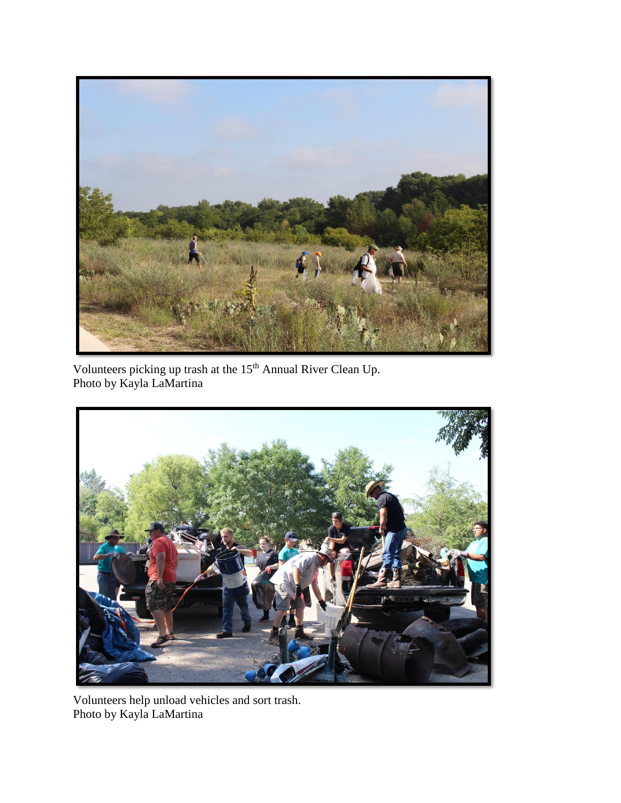

Volunteers picking up trash at the 15<sup>th</sup> Annual River Clean Up. Photo by Kayla LaMartina



Volunteers help unload vehicles and sort trash. Photo by Kayla LaMartina